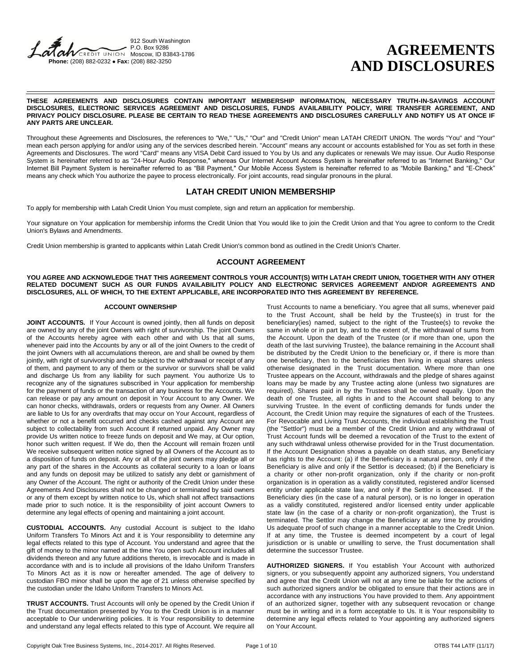#### 912 South Washington P.O. Box 9286 **VCREDIT UNION Moscow. ID 83843-1786 Phone:** (208) 882-0232 **Fax:** (208) 882-3250

# **AGREEMENTS AND DISCLOSURES**

#### **THESE AGREEMENTS AND DISCLOSURES CONTAIN IMPORTANT MEMBERSHIP INFORMATION, NECESSARY TRUTH-IN-SAVINGS ACCOUNT DISCLOSURES, ELECTRONIC SERVICES AGREEMENT AND DISCLOSURES, FUNDS AVAILABILITY POLICY, WIRE TRANSFER AGREEMENT, AND PRIVACY POLICY DISCLOSURE. PLEASE BE CERTAIN TO READ THESE AGREEMENTS AND DISCLOSURES CAREFULLY AND NOTIFY US AT ONCE IF ANY PARTS ARE UNCLEAR.**

Throughout these Agreements and Disclosures, the references to "We," "Us," "Our" and "Credit Union" mean LATAH CREDIT UNION. The words "You" and "Your" mean each person applying for and/or using any of the services described herein. "Account" means any account or accounts established for You as set forth in these Agreements and Disclosures. The word "Card" means any VISA Debit Card issued to You by Us and any duplicates or renewals We may issue. Our Audio Response System is hereinafter referred to as "24-Hour Audio Response," whereas Our Internet Account Access System is hereinafter referred to as "Internet Banking," Our Internet Bill Payment System is hereinafter referred to as "Bill Payment," Our Mobile Access System is hereinafter referred to as "Mobile Banking," and "E-Check" means any check which You authorize the payee to process electronically. For joint accounts, read singular pronouns in the plural.

# **LATAH CREDIT UNION MEMBERSHIP**

To apply for membership with Latah Credit Union You must complete, sign and return an application for membership.

Your signature on Your application for membership informs the Credit Union that You would like to join the Credit Union and that You agree to conform to the Credit Union's Bylaws and Amendments.

Credit Union membership is granted to applicants within Latah Credit Union's common bond as outlined in the Credit Union's Charter.

# **ACCOUNT AGREEMENT**

#### **YOU AGREE AND ACKNOWLEDGE THAT THIS AGREEMENT CONTROLS YOUR ACCOUNT(S) WITH LATAH CREDIT UNION, TOGETHER WITH ANY OTHER RELATED DOCUMENT SUCH AS OUR FUNDS AVAILABILITY POLICY AND ELECTRONIC SERVICES AGREEMENT AND/OR AGREEMENTS AND DISCLOSURES, ALL OF WHICH, TO THE EXTENT APPLICABLE, ARE INCORPORATED INTO THIS AGREEMENT BY REFERENCE.**

### **ACCOUNT OWNERSHIP**

JOINT ACCOUNTS. If Your Account is owned jointly, then all funds on deposit are owned by any of the joint Owners with right of survivorship. The joint Owners of the Accounts hereby agree with each other and with Us that all sums, whenever paid into the Accounts by any or all of the joint Owners to the credit of the joint Owners with all accumulations thereon, are and shall be owned by them jointly, with right of survivorship and be subject to the withdrawal or receipt of any of them, and payment to any of them or the survivor or survivors shall be valid and discharge Us from any liability for such payment. You authorize Us to recognize any of the signatures subscribed in Your application for membership for the payment of funds or the transaction of any business for the Accounts. We can release or pay any amount on deposit in Your Account to any Owner. We can honor checks, withdrawals, orders or requests from any Owner. All Owners are liable to Us for any overdrafts that may occur on Your Account, regardless of whether or not a benefit occurred and checks cashed against any Account are subject to collectability from such Account if returned unpaid. Any Owner may provide Us written notice to freeze funds on deposit and We may, at Our option, honor such written request. If We do, then the Account will remain frozen until We receive subsequent written notice signed by all Owners of the Account as to a disposition of funds on deposit. Any or all of the joint owners may pledge all or any part of the shares in the Accounts as collateral security to a loan or loans and any funds on deposit may be utilized to satisfy any debt or garnishment of any Owner of the Account. The right or authority of the Credit Union under these Agreements And Disclosures shall not be changed or terminated by said owners or any of them except by written notice to Us, which shall not affect transactions made prior to such notice. It is the responsibility of joint account Owners to determine any legal effects of opening and maintaining a joint account.

**CUSTODIAL ACCOUNTS.** Any custodial Account is subject to the Idaho Uniform Transfers To Minors Act and it is Your responsibility to determine any legal effects related to this type of Account. You understand and agree that the gift of money to the minor named at the time You open such Account includes all dividends thereon and any future additions thereto, is irrevocable and is made in accordance with and is to include all provisions of the Idaho Uniform Transfers To Minors Act as it is now or hereafter amended. The age of delivery to custodian FBO minor shall be upon the age of 21 unless otherwise specified by the custodian under the Idaho Uniform Transfers to Minors Act.

**TRUST ACCOUNTS.** Trust Accounts will only be opened by the Credit Union if the Trust documentation presented by You to the Credit Union is in a manner acceptable to Our underwriting policies. It is Your responsibility to determine and understand any legal effects related to this type of Account. We require all

Trust Accounts to name a beneficiary. You agree that all sums, whenever paid to the Trust Account, shall be held by the Trustee(s) in trust for the beneficiary(ies) named, subject to the right of the Trustee(s) to revoke the same in whole or in part by, and to the extent of, the withdrawal of sums from the Account. Upon the death of the Trustee (or if more than one, upon the death of the last surviving Trustee), the balance remaining in the Account shall be distributed by the Credit Union to the beneficiary or, if there is more than one beneficiary, then to the beneficiaries then living in equal shares unless otherwise designated in the Trust documentation. Where more than one Trustee appears on the Account, withdrawals and the pledge of shares against loans may be made by any Trustee acting alone (unless two signatures are required). Shares paid in by the Trustees shall be owned equally. Upon the death of one Trustee, all rights in and to the Account shall belong to any surviving Trustee. In the event of conflicting demands for funds under the Account, the Credit Union may require the signatures of each of the Trustees. For Revocable and Living Trust Accounts, the individual establishing the Trust (the "Settlor") must be a member of the Credit Union and any withdrawal of Trust Account funds will be deemed a revocation of the Trust to the extent of any such withdrawal unless otherwise provided for in the Trust documentation. If the Account Designation shows a payable on death status, any Beneficiary has rights to the Account: (a) if the Beneficiary is a natural person, only if the Beneficiary is alive and only if the Settlor is deceased; (b) if the Beneficiary is a charity or other non-profit organization, only if the charity or non-profit organization is in operation as a validly constituted, registered and/or licensed entity under applicable state law, and only if the Settlor is deceased. If the Beneficiary dies (in the case of a natural person), or is no longer in operation as a validly constituted, registered and/or licensed entity under applicable state law (in the case of a charity or non-profit organization), the Trust is terminated. The Settlor may change the Beneficiary at any time by providing Us adequate proof of such change in a manner acceptable to the Credit Union. If at any time, the Trustee is deemed incompetent by a court of legal jurisdiction or is unable or unwilling to serve, the Trust documentation shall determine the successor Trustee.

**AUTHORIZED SIGNERS.** If You establish Your Account with authorized signers, or you subsequently appoint any authorized signers, You understand and agree that the Credit Union will not at any time be liable for the actions of such authorized signers and/or be obligated to ensure that their actions are in accordance with any instructions You have provided to them. Any appointment of an authorized signer, together with any subsequent revocation or change must be in writing and in a form acceptable to Us. It is Your responsibility to determine any legal effects related to Your appointing any authorized signers on Your Account.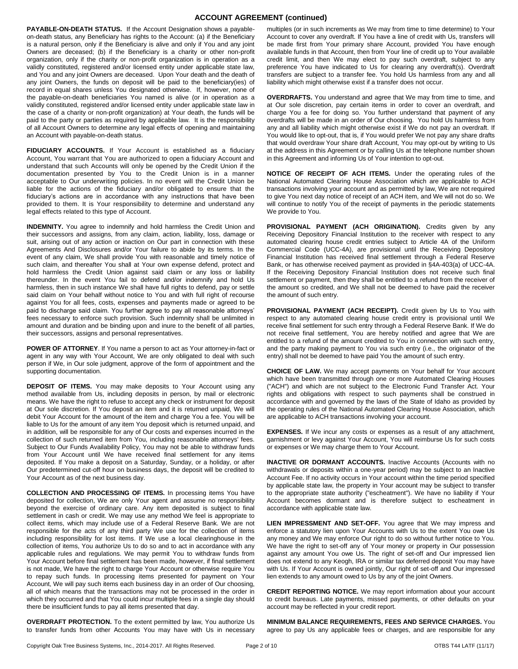# **ACCOUNT AGREEMENT (continued)**

**PAYABLE-ON-DEATH STATUS.** If the Account Designation shows a payableon-death status, any Beneficiary has rights to the Account: (a) if the Beneficiary is a natural person, only if the Beneficiary is alive and only if You and any joint Owners are deceased; (b) if the Beneficiary is a charity or other non-profit organization, only if the charity or non-profit organization is in operation as a validly constituted, registered and/or licensed entity under applicable state law, and You and any joint Owners are deceased. Upon Your death and the death of any joint Owners, the funds on deposit will be paid to the beneficiary(ies) of record in equal shares unless You designated otherwise. If, however, none of the payable-on-death beneficiaries You named is alive (or in operation as a validly constituted, registered and/or licensed entity under applicable state law in the case of a charity or non-profit organization) at Your death, the funds will be paid to the party or parties as required by applicable law. It is the responsibility of all Account Owners to determine any legal effects of opening and maintaining an Account with payable-on-death status.

**FIDUCIARY ACCOUNTS.** If Your Account is established as a fiduciary Account, You warrant that You are authorized to open a fiduciary Account and understand that such Accounts will only be opened by the Credit Union if the documentation presented by You to the Credit Union is in a manner acceptable to Our underwriting policies. In no event will the Credit Union be liable for the actions of the fiduciary and/or obligated to ensure that the fiduciary's actions are in accordance with any instructions that have been provided to them. It is Your responsibility to determine and understand any legal effects related to this type of Account.

**INDEMNITY.** You agree to indemnify and hold harmless the Credit Union and their successors and assigns, from any claim, action, liability, loss, damage or suit, arising out of any action or inaction on Our part in connection with these Agreements And Disclosures and/or Your failure to abide by its terms. In the event of any claim, We shall provide You with reasonable and timely notice of such claim, and thereafter You shall at Your own expense defend, protect and hold harmless the Credit Union against said claim or any loss or liability thereunder. In the event You fail to defend and/or indemnify and hold Us harmless, then in such instance We shall have full rights to defend, pay or settle said claim on Your behalf without notice to You and with full right of recourse against You for all fees, costs, expenses and payments made or agreed to be paid to discharge said claim. You further agree to pay all reasonable attorneys' fees necessary to enforce such provision. Such indemnity shall be unlimited in amount and duration and be binding upon and inure to the benefit of all parties, their successors, assigns and personal representatives.

**POWER OF ATTORNEY**. If You name a person to act as Your attorney-in-fact or agent in any way with Your Account, We are only obligated to deal with such person if We, in Our sole judgment, approve of the form of appointment and the supporting documentation.

**DEPOSIT OF ITEMS.** You may make deposits to Your Account using any method available from Us, including deposits in person, by mail or electronic means. We have the right to refuse to accept any check or instrument for deposit at Our sole discretion. If You deposit an item and it is returned unpaid, We will debit Your Account for the amount of the item and charge You a fee. You will be liable to Us for the amount of any item You deposit which is returned unpaid, and in addition, will be responsible for any of Our costs and expenses incurred in the collection of such returned item from You, including reasonable attorneys' fees. Subject to Our Funds Availability Policy, You may not be able to withdraw funds from Your Account until We have received final settlement for any items deposited. If You make a deposit on a Saturday, Sunday, or a holiday, or after Our predetermined cut-off hour on business days, the deposit will be credited to Your Account as of the next business day.

**COLLECTION AND PROCESSING OF ITEMS.** In processing items You have deposited for collection, We are only Your agent and assume no responsibility beyond the exercise of ordinary care. Any item deposited is subject to final settlement in cash or credit. We may use any method We feel is appropriate to collect items, which may include use of a Federal Reserve Bank. We are not responsible for the acts of any third party We use for the collection of items including responsibility for lost items. If We use a local clearinghouse in the collection of items, You authorize Us to do so and to act in accordance with any applicable rules and regulations. We may permit You to withdraw funds from Your Account before final settlement has been made, however, if final settlement is not made, We have the right to charge Your Account or otherwise require You to repay such funds. In processing items presented for payment on Your Account, We will pay such items each business day in an order of Our choosing, all of which means that the transactions may not be processed in the order in which they occurred and that You could incur multiple fees in a single day should there be insufficient funds to pay all items presented that day.

**OVERDRAFT PROTECTION.** To the extent permitted by law, You authorize Us to transfer funds from other Accounts You may have with Us in necessary

multiples (or in such increments as We may from time to time determine) to Your Account to cover any overdraft. If You have a line of credit with Us, transfers will be made first from Your primary share Account, provided You have enough available funds in that Account, then from Your line of credit up to Your available credit limit, and then We may elect to pay such overdraft, subject to any preference You have indicated to Us for clearing any overdraft(s). Overdraft transfers are subject to a transfer fee. You hold Us harmless from any and all liability which might otherwise exist if a transfer does not occur.

**OVERDRAFTS.** You understand and agree that We may from time to time, and at Our sole discretion, pay certain items in order to cover an overdraft, and charge You a fee for doing so. You further understand that payment of any overdrafts will be made in an order of Our choosing. You hold Us harmless from any and all liability which might otherwise exist if We do not pay an overdraft. If You would like to opt-out, that is, if You would prefer We not pay any share drafts that would overdraw Your share draft Account, You may opt-out by writing to Us at the address in this Agreement or by calling Us at the telephone number shown in this Agreement and informing Us of Your intention to opt-out.

**NOTICE OF RECEIPT OF ACH ITEMS.** Under the operating rules of the National Automated Clearing House Association which are applicable to ACH transactions involving your account and as permitted by law, We are not required to give You next day notice of receipt of an ACH item, and We will not do so. We will continue to notify You of the receipt of payments in the periodic statements We provide to You.

**PROVISIONAL PAYMENT (ACH ORIGINATION).** Credits given by any Receiving Depository Financial Institution to the receiver with respect to any automated clearing house credit entries subject to Article 4A of the Uniform Commercial Code (UCC-4A), are provisional until the Receiving Depository Financial Institution has received final settlement through a Federal Reserve Bank, or has otherwise received payment as provided in §4A-403(a) of UCC-4A. If the Receiving Depository Financial Institution does not receive such final settlement or payment, then they shall be entitled to a refund from the receiver of the amount so credited, and We shall not be deemed to have paid the receiver the amount of such entry.

PROVISIONAL PAYMENT (ACH RECEIPT). Credit given by Us to You with respect to any automated clearing house credit entry is provisional until We receive final settlement for such entry through a Federal Reserve Bank. If We do not receive final settlement, You are hereby notified and agree that We are entitled to a refund of the amount credited to You in connection with such entry, and the party making payment to You via such entry (i.e., the originator of the entry) shall not be deemed to have paid You the amount of such entry.

**CHOICE OF LAW.** We may accept payments on Your behalf for Your account which have been transmitted through one or more Automated Clearing Houses ("ACH") and which are not subject to the Electronic Fund Transfer Act. Your rights and obligations with respect to such payments shall be construed in accordance with and governed by the laws of the State of Idaho as provided by the operating rules of the National Automated Clearing House Association, which are applicable to ACH transactions involving your account.

**EXPENSES.** If We incur any costs or expenses as a result of any attachment, garnishment or levy against Your Account, You will reimburse Us for such costs or expenses or We may charge them to Your Account.

**INACTIVE OR DORMANT ACCOUNTS.** Inactive Accounts (Accounts with no withdrawals or deposits within a one-year period) may be subject to an Inactive Account Fee. If no activity occurs in Your account within the time period specified by applicable state law, the property in Your account may be subject to transfer to the appropriate state authority ("escheatment"). We have no liability if Your Account becomes dormant and is therefore subject to escheatment in accordance with applicable state law.

**LIEN IMPRESSMENT AND SET-OFF.** You agree that We may impress and enforce a statutory lien upon Your Accounts with Us to the extent You owe Us any money and We may enforce Our right to do so without further notice to You. We have the right to set-off any of Your money or property in Our possession against any amount You owe Us. The right of set-off and Our impressed lien does not extend to any Keogh, IRA or similar tax deferred deposit You may have with Us. If Your Account is owned jointly, Our right of set-off and Our impressed lien extends to any amount owed to Us by any of the joint Owners.

**CREDIT REPORTING NOTICE.** We may report information about your account to credit bureaus. Late payments, missed payments, or other defaults on your account may be reflected in your credit report.

**MINIMUM BALANCE REQUIREMENTS, FEES AND SERVICE CHARGES.** You agree to pay Us any applicable fees or charges, and are responsible for any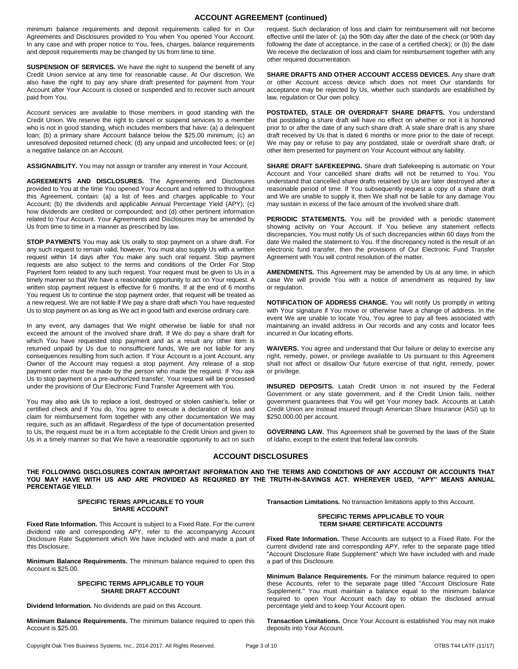# **ACCOUNT AGREEMENT (continued)**

minimum balance requirements and deposit requirements called for in Our Agreements and Disclosures provided to You when You opened Your Account. In any case and with proper notice to You, fees, charges, balance requirements and deposit requirements may be changed by Us from time to time.

**SUSPENSION OF SERVICES.** We have the right to suspend the benefit of any Credit Union service at any time for reasonable cause. At Our discretion, We also have the right to pay any share draft presented for payment from Your Account after Your Account is closed or suspended and to recover such amount paid from You.

Account services are available to those members in good standing with the Credit Union. We reserve the right to cancel or suspend services to a member who is not in good standing, which includes members that have: (a) a delinquent loan; (b) a primary share Account balance below the \$25.00 minimum; (c) an unresolved deposited returned check; (d) any unpaid and uncollected fees; or (e) a negative balance on an Account.

**ASSIGNABILITY.** You may not assign or transfer any interest in Your Account.

**AGREEMENTS AND DISCLOSURES.** The Agreements and Disclosures provided to You at the time You opened Your Account and referred to throughout this Agreement, contain: (a) a list of fees and charges applicable to Your Account; (b) the dividends and applicable Annual Percentage Yield (APY); (c) how dividends are credited or compounded; and (d) other pertinent information related to Your Account. Your Agreements and Disclosures may be amended by Us from time to time in a manner as prescribed by law.

**STOP PAYMENTS** You may ask Us orally to stop payment on a share draft. For any such request to remain valid, however, You must also supply Us with a written request within 14 days after You make any such oral request. Stop payment requests are also subject to the terms and conditions of the Order For Stop Payment form related to any such request. Your request must be given to Us in a timely manner so that We have a reasonable opportunity to act on Your request. A written stop payment request is effective for 6 months. If at the end of 6 months You request Us to continue the stop payment order, that request will be treated as a new request. We are not liable if We pay a share draft which You have requested Us to stop payment on as long as We act in good faith and exercise ordinary care.

In any event, any damages that We might otherwise be liable for shall not exceed the amount of the involved share draft. If We do pay a share draft for which You have requested stop payment and as a result any other item is returned unpaid by Us due to nonsufficient funds, We are not liable for any consequences resulting from such action. If Your Account is a joint Account, any Owner of the Account may request a stop payment. Any release of a stop payment order must be made by the person who made the request. If You ask Us to stop payment on a pre-authorized transfer, Your request will be processed under the provisions of Our Electronic Fund Transfer Agreement with You.

You may also ask Us to replace a lost, destroyed or stolen cashier's, teller or certified check and if You do, You agree to execute a declaration of loss and claim for reimbursement form together with any other documentation We may require, such as an affidavit. Regardless of the type of documentation presented to Us, the request must be in a form acceptable to the Credit Union and given to Us in a timely manner so that We have a reasonable opportunity to act on such

request. Such declaration of loss and claim for reimbursement will not become effective until the later of: (a) the 90th day after the date of the check (or 90th day following the date of acceptance, in the case of a certified check); or (b) the date We receive the declaration of loss and claim for reimbursement together with any other required documentation.

**SHARE DRAFTS AND OTHER ACCOUNT ACCESS DEVICES.** Any share draft or other Account access device which does not meet Our standards for acceptance may be rejected by Us, whether such standards are established by law, regulation or Our own policy.

**POSTDATED, STALE OR OVERDRAFT SHARE DRAFTS.** You understand that postdating a share draft will have no effect on whether or not it is honored prior to or after the date of any such share draft. A stale share draft is any share draft received by Us that is dated 6 months or more prior to the date of receipt. We may pay or refuse to pay any postdated, stale or overdraft share draft, or other item presented for payment on Your Account without any liability.

**SHARE DRAFT SAFEKEEPING.** Share draft Safekeeping is automatic on Your Account and Your cancelled share drafts will not be returned to You. You understand that cancelled share drafts retained by Us are later destroyed after a reasonable period of time. If You subsequently request a copy of a share draft and We are unable to supply it, then We shall not be liable for any damage You may sustain in excess of the face amount of the involved share draft.

**PERIODIC STATEMENTS.** You will be provided with a periodic statement showing activity on Your Account. If You believe any statement reflects discrepancies, You must notify Us of such discrepancies within 60 days from the date We mailed the statement to You. If the discrepancy noted is the result of an electronic fund transfer, then the provisions of Our Electronic Fund Transfer Agreement with You will control resolution of the matter.

**AMENDMENTS.** This Agreement may be amended by Us at any time, in which case We will provide You with a notice of amendment as required by law or regulation.

**NOTIFICATION OF ADDRESS CHANGE.** You will notify Us promptly in writing with Your signature if You move or otherwise have a change of address. In the event We are unable to locate You, You agree to pay all fees associated with maintaining an invalid address in Our records and any costs and locator fees incurred in Our locating efforts.

**WAIVERS.** You agree and understand that Our failure or delay to exercise any right, remedy, power, or privilege available to Us pursuant to this Agreement shall not affect or disallow Our future exercise of that right, remedy, power or privilege.

**INSURED DEPOSITS.** Latah Credit Union is not insured by the Federal Government or any state government, and if the Credit Union fails, neither government guarantees that You will get Your money back. Accounts at Latah Credit Union are instead insured through American Share Insurance (ASI) up to \$250,000.00 per account.

**GOVERNING LAW.** This Agreement shall be governed by the laws of the State of Idaho, except to the extent that federal law controls.

# **ACCOUNT DISCLOSURES**

**THE FOLLOWING DISCLOSURES CONTAIN IMPORTANT INFORMATION AND THE TERMS AND CONDITIONS OF ANY ACCOUNT OR ACCOUNTS THAT YOU MAY HAVE WITH US AND ARE PROVIDED AS REQUIRED BY THE TRUTH-IN-SAVINGS ACT. WHEREVER USED, "APY" MEANS ANNUAL PERCENTAGE YIELD.** 

### **SPECIFIC TERMS APPLICABLE TO YOUR SHARE ACCOUNT**

**Transaction Limitations.** No transaction limitations apply to this Account.

#### **SPECIFIC TERMS APPLICABLE TO YOUR TERM SHARE CERTIFICATE ACCOUNTS**

**Fixed Rate Information.** These Accounts are subject to a Fixed Rate. For the current dividend rate and corresponding APY, refer to the separate page titled "Account Disclosure Rate Supplement" which We have included with and made a part of this Disclosure.

**Minimum Balance Requirements.** For the minimum balance required to open these Accounts, refer to the separate page titled "Account Disclosure Rate Supplement." You must maintain a balance equal to the minimum balance required to open Your Account each day to obtain the disclosed annual percentage yield and to keep Your Account open.

**Transaction Limitations.** Once Your Account is established You may not make deposits into Your Account.

**Fixed Rate Information.** This Account is subject to a Fixed Rate. For the current dividend rate and corresponding APY, refer to the accompanying Account Disclosure Rate Supplement which We have included with and made a part of this Disclosure.

**Minimum Balance Requirements.** The minimum balance required to open this Account is \$25.00.

#### **SPECIFIC TERMS APPLICABLE TO YOUR SHARE DRAFT ACCOUNT**

**Dividend Information.** No dividends are paid on this Account.

**Minimum Balance Requirements.** The minimum balance required to open this Account is \$25.00.

Copyright Oak Tree Business Systems, Inc., 2014-2017. All Rights Reserved. Page 3 of 10 OTBS T44 LATF (11/17) OTBS T44 LATF (11/17)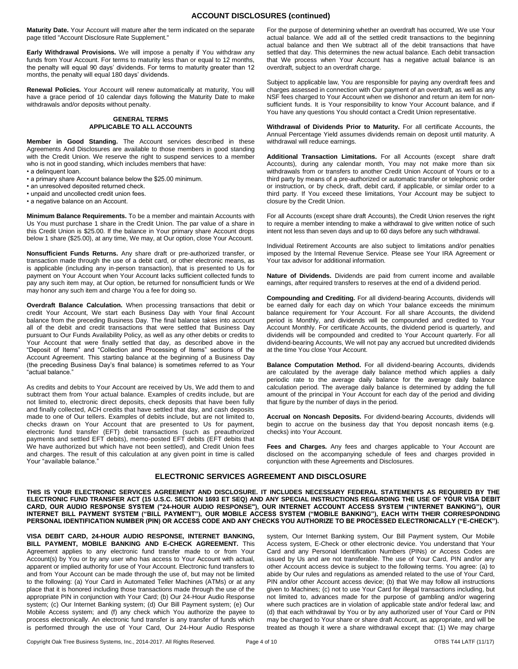**Maturity Date.** Your Account will mature after the term indicated on the separate page titled "Account Disclosure Rate Supplement."

**Early Withdrawal Provisions.** We will impose a penalty if You withdraw any funds from Your Account. For terms to maturity less than or equal to 12 months, the penalty will equal 90 days' dividends. For terms to maturity greater than 12 months, the penalty will equal 180 days' dividends.

**Renewal Policies.** Your Account will renew automatically at maturity, You will have a grace period of 10 calendar days following the Maturity Date to make withdrawals and/or deposits without penalty.

#### **GENERAL TERMS APPLICABLE TO ALL ACCOUNTS**

**Member in Good Standing.** The Account services described in these Agreements And Disclosures are available to those members in good standing with the Credit Union. We reserve the right to suspend services to a member who is not in good standing, which includes members that have:

- a delinquent loan.
- a primary share Account balance below the \$25.00 minimum.
- an unresolved deposited returned check.
- unpaid and uncollected credit union fees.

• a negative balance on an Account.

**Minimum Balance Requirements.** To be a member and maintain Accounts with Us You must purchase 1 share in the Credit Union. The par value of a share in this Credit Union is \$25.00. If the balance in Your primary share Account drops below 1 share (\$25.00), at any time, We may, at Our option, close Your Account.

**Nonsufficient Funds Returns.** Any share draft or pre-authorized transfer, or transaction made through the use of a debit card, or other electronic means, as is applicable (including any in-person transaction), that is presented to Us for payment on Your Account when Your Account lacks sufficient collected funds to pay any such item may, at Our option, be returned for nonsufficient funds or We may honor any such item and charge You a fee for doing so.

**Overdraft Balance Calculation.** When processing transactions that debit or credit Your Account, We start each Business Day with Your final Account balance from the preceding Business Day. The final balance takes into account all of the debit and credit transactions that were settled that Business Day pursuant to Our Funds Availability Policy, as well as any other debits or credits to Your Account that were finally settled that day, as described above in the "Deposit of Items" and "Collection and Processing of Items" sections of the Account Agreement. This starting balance at the beginning of a Business Day (the preceding Business Day's final balance) is sometimes referred to as Your "actual balance."

As credits and debits to Your Account are received by Us, We add them to and subtract them from Your actual balance. Examples of credits include, but are not limited to, electronic direct deposits, check deposits that have been fully and finally collected, ACH credits that have settled that day, and cash deposits made to one of Our tellers. Examples of debits include, but are not limited to, checks drawn on Your Account that are presented to Us for payment, electronic fund transfer (EFT) debit transactions (such as preauthorized payments and settled EFT debits), memo-posted EFT debits (EFT debits that We have authorized but which have not been settled), and Credit Union fees and charges. The result of this calculation at any given point in time is called Your "available balance."

For the purpose of determining whether an overdraft has occurred, We use Your actual balance. We add all of the settled credit transactions to the beginning actual balance and then We subtract all of the debit transactions that have settled that day. This determines the new actual balance. Each debit transaction that We process when Your Account has a negative actual balance is an overdraft, subject to an overdraft charge.

Subject to applicable law, You are responsible for paying any overdraft fees and charges assessed in connection with Our payment of an overdraft, as well as any NSF fees charged to Your Account when we dishonor and return an item for nonsufficient funds. It is Your responsibility to know Your Account balance, and if You have any questions You should contact a Credit Union representative.

**Withdrawal of Dividends Prior to Maturity.** For all certificate Accounts, the Annual Percentage Yield assumes dividends remain on deposit until maturity. A withdrawal will reduce earnings.

**Additional Transaction Limitations.** For all Accounts (except share draft Accounts), during any calendar month, You may not make more than six withdrawals from or transfers to another Credit Union Account of Yours or to a third party by means of a pre-authorized or automatic transfer or telephonic order or instruction, or by check, draft, debit card, if applicable, or similar order to a third party. If You exceed these limitations, Your Account may be subject to closure by the Credit Union.

For all Accounts (except share draft Accounts), the Credit Union reserves the right to require a member intending to make a withdrawal to give written notice of such intent not less than seven days and up to 60 days before any such withdrawal.

Individual Retirement Accounts are also subject to limitations and/or penalties imposed by the Internal Revenue Service. Please see Your IRA Agreement or Your tax advisor for additional information.

**Nature of Dividends.** Dividends are paid from current income and available earnings, after required transfers to reserves at the end of a dividend period.

**Compounding and Crediting.** For all dividend-bearing Accounts, dividends will be earned daily for each day on which Your balance exceeds the minimum balance requirement for Your Account. For all share Accounts, the dividend period is Monthly, and dividends will be compounded and credited to Your Account Monthly. For certificate Accounts, the dividend period is quarterly, and dividends will be compounded and credited to Your Account quarterly. For all dividend-bearing Accounts, We will not pay any accrued but uncredited dividends at the time You close Your Account.

**Balance Computation Method.** For all dividend-bearing Accounts, dividends are calculated by the average daily balance method which applies a daily periodic rate to the average daily balance for the average daily balance calculation period. The average daily balance is determined by adding the full amount of the principal in Your Account for each day of the period and dividing that figure by the number of days in the period.

**Accrual on Noncash Deposits.** For dividend-bearing Accounts, dividends will begin to accrue on the business day that You deposit noncash items (e.g. checks) into Your Account.

**Fees and Charges.** Any fees and charges applicable to Your Account are disclosed on the accompanying schedule of fees and charges provided in conjunction with these Agreements and Disclosures.

# **ELECTRONIC SERVICES AGREEMENT AND DISCLOSURE**

**THIS IS YOUR ELECTRONIC SERVICES AGREEMENT AND DISCLOSURE. IT INCLUDES NECESSARY FEDERAL STATEMENTS AS REQUIRED BY THE ELECTRONIC FUND TRANSFER ACT (15 U.S.C. SECTION 1693 ET SEQ) AND ANY SPECIAL INSTRUCTIONS REGARDING THE USE OF YOUR VISA DEBIT CARD, OUR AUDIO RESPONSE SYSTEM ("24-HOUR AUDIO RESPONSE"), OUR INTERNET ACCOUNT ACCESS SYSTEM ("INTERNET BANKING"), OUR INTERNET BILL PAYMENT SYSTEM ("BILL PAYMENT"), OUR MOBILE ACCESS SYSTEM ("MOBILE BANKING"), EACH WITH THEIR CORRESPONDING PERSONAL IDENTIFICATION NUMBER (PIN) OR ACCESS CODE AND ANY CHECKS YOU AUTHORIZE TO BE PROCESSED ELECTRONICALLY ("E-CHECK").**

**VISA DEBIT CARD, 24-HOUR AUDIO RESPONSE, INTERNET BANKING, BILL PAYMENT, MOBILE BANKING AND E-CHECK AGREEMENT.** This Agreement applies to any electronic fund transfer made to or from Your Account(s) by You or by any user who has access to Your Account with actual, apparent or implied authority for use of Your Account. Electronic fund transfers to and from Your Account can be made through the use of, but may not be limited to the following: (a) Your Card in Automated Teller Machines (ATMs) or at any place that it is honored including those transactions made through the use of the appropriate PIN in conjunction with Your Card; (b) Our 24-Hour Audio Response system; (c) Our Internet Banking system; (d) Our Bill Payment system; (e) Our Mobile Access system; and (f) any check which You authorize the payee to process electronically. An electronic fund transfer is any transfer of funds which is performed through the use of Your Card, Our 24-Hour Audio Response

system, Our Internet Banking system, Our Bill Payment system, Our Mobile Access system, E-Check or other electronic device. You understand that Your Card and any Personal Identification Numbers (PINs) or Access Codes are issued by Us and are not transferable. The use of Your Card, PIN and/or any other Account access device is subject to the following terms. You agree: (a) to abide by Our rules and regulations as amended related to the use of Your Card, PIN and/or other Account access device; (b) that We may follow all instructions given to Machines; (c) not to use Your Card for illegal transactions including, but not limited to, advances made for the purpose of gambling and/or wagering where such practices are in violation of applicable state and/or federal law; and (d) that each withdrawal by You or by any authorized user of Your Card or PIN may be charged to Your share or share draft Account, as appropriate, and will be treated as though it were a share withdrawal except that: (1) We may charge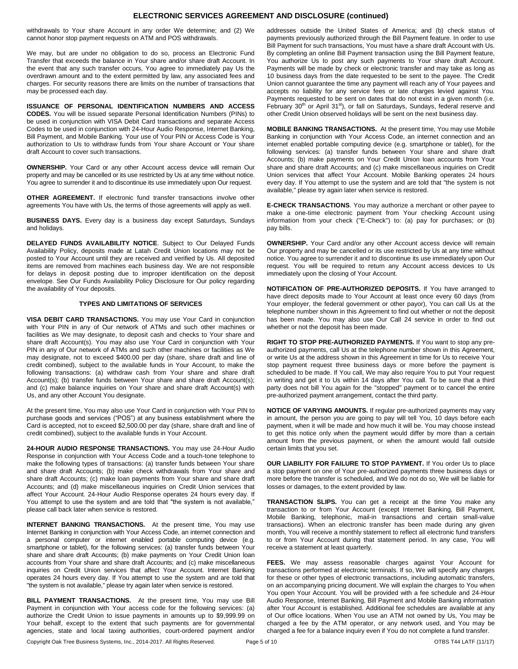## **ELECTRONIC SERVICES AGREEMENT AND DISCLOSURE (continued)**

withdrawals to Your share Account in any order We determine; and (2) We cannot honor stop payment requests on ATM and POS withdrawals.

We may, but are under no obligation to do so, process an Electronic Fund Transfer that exceeds the balance in Your share and/or share draft Account. In the event that any such transfer occurs, You agree to immediately pay Us the overdrawn amount and to the extent permitted by law, any associated fees and charges. For security reasons there are limits on the number of transactions that may be processed each day.

**ISSUANCE OF PERSONAL IDENTIFICATION NUMBERS AND ACCESS CODES.** You will be issued separate Personal Identification Numbers (PINs) to be used in conjunction with VISA Debit Card transactions and separate Access Codes to be used in conjunction with 24-Hour Audio Response, Internet Banking, Bill Payment, and Mobile Banking. Your use of Your PIN or Access Code is Your authorization to Us to withdraw funds from Your share Account or Your share draft Account to cover such transactions.

**OWNERSHIP.** Your Card or any other Account access device will remain Our property and may be cancelled or its use restricted by Us at any time without notice. You agree to surrender it and to discontinue its use immediately upon Our request.

**OTHER AGREEMENT.** If electronic fund transfer transactions involve other agreements You have with Us, the terms of those agreements will apply as well.

**BUSINESS DAYS.** Every day is a business day except Saturdays, Sundays and holidays.

**DELAYED FUNDS AVAILABILITY NOTICE**. Subject to Our Delayed Funds Availability Policy, deposits made at Latah Credit Union locations may not be posted to Your Account until they are received and verified by Us. All deposited items are removed from machines each business day. We are not responsible for delays in deposit posting due to improper identification on the deposit envelope. See Our Funds Availability Policy Disclosure for Our policy regarding the availability of Your deposits.

## **TYPES AND LIMITATIONS OF SERVICES**

**VISA DEBIT CARD TRANSACTIONS.** You may use Your Card in conjunction with Your PIN in any of Our network of ATMs and such other machines or facilities as We may designate, to deposit cash and checks to Your share and share draft Account(s). You may also use Your Card in conjunction with Your PIN in any of Our network of ATMs and such other machines or facilities as We may designate, not to exceed \$400.00 per day (share, share draft and line of credit combined), subject to the available funds in Your Account, to make the following transactions: (a) withdraw cash from Your share and share draft Account(s); (b) transfer funds between Your share and share draft Account(s); and (c) make balance inquiries on Your share and share draft Account(s) with Us, and any other Account You designate.

At the present time, You may also use Your Card in conjunction with Your PIN to purchase goods and services ("POS") at any business establishment where the Card is accepted, not to exceed \$2,500.00 per day (share, share draft and line of credit combined), subject to the available funds in Your Account.

**24-HOUR AUDIO RESPONSE TRANSACTIONS.** You may use 24-Hour Audio Response in conjunction with Your Access Code and a touch-tone telephone to make the following types of transactions: (a) transfer funds between Your share and share draft Accounts; (b) make check withdrawals from Your share and share draft Accounts; (c) make loan payments from Your share and share draft Accounts; and (d) make miscellaneous inquiries on Credit Union services that affect Your Account. 24-Hour Audio Response operates 24 hours every day. If You attempt to use the system and are told that "the system is not available," please call back later when service is restored.

**INTERNET BANKING TRANSACTIONS.** At the present time, You may use Internet Banking in conjunction with Your Access Code, an internet connection and a personal computer or internet enabled portable computing device (e.g. smartphone or tablet), for the following services: (a) transfer funds between Your share and share draft Accounts; (b) make payments on Your Credit Union loan accounts from Your share and share draft Accounts; and (c) make miscellaneous inquiries on Credit Union services that affect Your Account. Internet Banking operates 24 hours every day. If You attempt to use the system and are told that "the system is not available," please try again later when service is restored.

**BILL PAYMENT TRANSACTIONS.** At the present time, You may use Bill Payment in conjunction with Your access code for the following services: (a) authorize the Credit Union to issue payments in amounts up to \$9,999.99 on Your behalf, except to the extent that such payments are for governmental agencies, state and local taxing authorities, court-ordered payment and/or

addresses outside the United States of America; and (b) check status of payments previously authorized through the Bill Payment feature. In order to use Bill Payment for such transactions, You must have a share draft Account with Us. By completing an online Bill Payment transaction using the Bill Payment feature, You authorize Us to post any such payments to Your share draft Account. Payments will be made by check or electronic transfer and may take as long as 10 business days from the date requested to be sent to the payee. The Credit Union cannot guarantee the time any payment will reach any of Your payees and accepts no liability for any service fees or late charges levied against You. Payments requested to be sent on dates that do not exist in a given month (i.e. February 30<sup>th</sup> or April 31<sup>st</sup>), or fall on Saturdays, Sundays, federal reserve and other Credit Union observed holidays will be sent on the next business day.

**MOBILE BANKING TRANSACTIONS.** At the present time, You may use Mobile Banking in conjunction with Your Access Code, an internet connection and an internet enabled portable computing device (e.g. smartphone or tablet), for the following services: (a) transfer funds between Your share and share draft Accounts; (b) make payments on Your Credit Union loan accounts from Your share and share draft Accounts; and (c) make miscellaneous inquiries on Credit Union services that affect Your Account. Mobile Banking operates 24 hours every day. If You attempt to use the system and are told that "the system is not available," please try again later when service is restored.

**E-CHECK TRANSACTIONS**. You may authorize a merchant or other payee to make a one-time electronic payment from Your checking Account using information from your check ("E-Check") to: (a) pay for purchases; or (b) pay bills.

**OWNERSHIP.** Your Card and/or any other Account access device will remain Our property and may be cancelled or its use restricted by Us at any time without notice. You agree to surrender it and to discontinue its use immediately upon Our request. You will be required to return any Account access devices to Us immediately upon the closing of Your Account.

**NOTIFICATION OF PRE-AUTHORIZED DEPOSITS.** If You have arranged to have direct deposits made to Your Account at least once every 60 days (from Your employer, the federal government or other payor), You can call Us at the telephone number shown in this Agreement to find out whether or not the deposit has been made. You may also use Our Call 24 service in order to find out whether or not the deposit has been made.

**RIGHT TO STOP PRE-AUTHORIZED PAYMENTS.** If You want to stop any preauthorized payments, call Us at the telephone number shown in this Agreement, or write Us at the address shown in this Agreement in time for Us to receive Your stop payment request three business days or more before the payment is scheduled to be made. If You call, We may also require You to put Your request in writing and get it to Us within 14 days after You call. To be sure that a third party does not bill You again for the "stopped" payment or to cancel the entire pre-authorized payment arrangement, contact the third party.

**NOTICE OF VARYING AMOUNTS.** If regular pre-authorized payments may vary in amount, the person you are going to pay will tell You, 10 days before each payment, when it will be made and how much it will be. You may choose instead to get this notice only when the payment would differ by more than a certain amount from the previous payment, or when the amount would fall outside certain limits that you set.

**OUR LIABILITY FOR FAILURE TO STOP PAYMENT.** If You order Us to place a stop payment on one of Your pre-authorized payments three business days or more before the transfer is scheduled, and We do not do so, We will be liable for losses or damages, to the extent provided by law.

**TRANSACTION SLIPS.** You can get a receipt at the time You make any transaction to or from Your Account (except Internet Banking, Bill Payment, Mobile Banking, telephonic, mail-in transactions and certain small-value transactions). When an electronic transfer has been made during any given month, You will receive a monthly statement to reflect all electronic fund transfers to or from Your Account during that statement period. In any case, You will receive a statement at least quarterly.

**FEES.** We may assess reasonable charges against Your Account for transactions performed at electronic terminals. If so, We will specify any charges for these or other types of electronic transactions, including automatic transfers, on an accompanying pricing document. We will explain the charges to You when You open Your Account. You will be provided with a fee schedule and 24-Hour Audio Response, Internet Banking, Bill Payment and Mobile Banking information after Your Account is established. Additional fee schedules are available at any of Our office locations. When You use an ATM not owned by Us, You may be charged a fee by the ATM operator, or any network used, and You may be charged a fee for a balance inquiry even if You do not complete a fund transfer.

Copyright Oak Tree Business Systems, Inc., 2014-2017. All Rights Reserved. Page 5 of 10 OTBS T44 LATF (11/17) OTBS T44 LATF (11/17)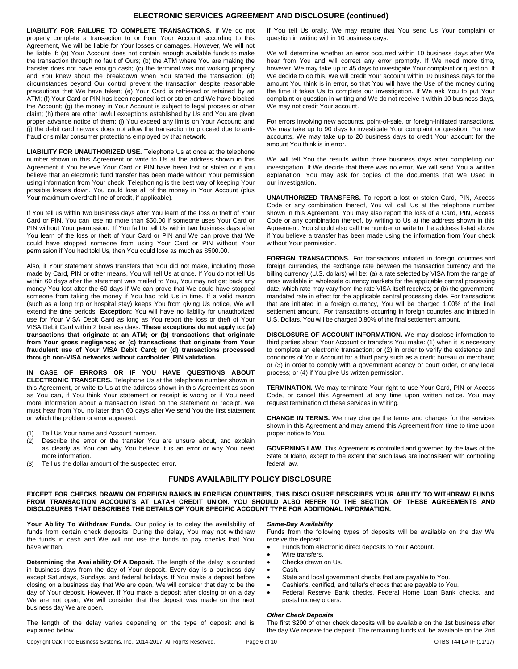# **ELECTRONIC SERVICES AGREEMENT AND DISCLOSURE (continued)**

**LIABILITY FOR FAILURE TO COMPLETE TRANSACTIONS.** If We do not properly complete a transaction to or from Your Account according to this Agreement, We will be liable for Your losses or damages. However, We will not be liable if: (a) Your Account does not contain enough available funds to make the transaction through no fault of Ours; (b) the ATM where You are making the transfer does not have enough cash; (c) the terminal was not working properly and You knew about the breakdown when You started the transaction; (d) circumstances beyond Our control prevent the transaction despite reasonable precautions that We have taken; (e) Your Card is retrieved or retained by an ATM; (f) Your Card or PIN has been reported lost or stolen and We have blocked the Account; (g) the money in Your Account is subject to legal process or other claim; (h) there are other lawful exceptions established by Us and You are given proper advance notice of them; (i) You exceed any limits on Your Account; and (j) the debit card network does not allow the transaction to proceed due to antifraud or similar consumer protections employed by that network.

**LIABILITY FOR UNAUTHORIZED USE.** Telephone Us at once at the telephone number shown in this Agreement or write to Us at the address shown in this Agreement if You believe Your Card or PIN have been lost or stolen or if you believe that an electronic fund transfer has been made without Your permission using information from Your check. Telephoning is the best way of keeping Your possible losses down. You could lose all of the money in Your Account (plus Your maximum overdraft line of credit, if applicable).

If You tell us within two business days after You learn of the loss or theft of Your Card or PIN, You can lose no more than \$50.00 if someone uses Your Card or PIN without Your permission. If You fail to tell Us within two business days after You learn of the loss or theft of Your Card or PIN and We can prove that We could have stopped someone from using Your Card or PIN without Your permission if You had told Us, then You could lose as much as \$500.00.

Also, if Your statement shows transfers that You did not make, including those made by Card, PIN or other means, You will tell Us at once. If You do not tell Us within 60 days after the statement was mailed to You, You may not get back any money You lost after the 60 days if We can prove that We could have stopped someone from taking the money if You had told Us in time. If a valid reason (such as a long trip or hospital stay) keeps You from giving Us notice, We will extend the time periods. **Exception:** You will have no liability for unauthorized use for Your VISA Debit Card as long as You report the loss or theft of Your VISA Debit Card within 2 business days. **These exceptions do not apply to: (a) transactions that originate at an ATM; or (b) transactions that originate from Your gross negligence; or (c) transactions that originate from Your fraudulent use of Your VISA Debit Card; or (d) transactions processed through non-VISA networks without cardholder PIN validation.**

**IN CASE OF ERRORS OR IF YOU HAVE QUESTIONS ABOUT ELECTRONIC TRANSFERS.** Telephone Us at the telephone number shown in this Agreement, or write to Us at the address shown in this Agreement as soon as You can, if You think Your statement or receipt is wrong or if You need more information about a transaction listed on the statement or receipt. We must hear from You no later than 60 days after We send You the first statement on which the problem or error appeared.

- (1) Tell Us Your name and Account number.
- (2) Describe the error or the transfer You are unsure about, and explain as clearly as You can why You believe it is an error or why You need more information.
- (3) Tell us the dollar amount of the suspected error.

If You tell Us orally, We may require that You send Us Your complaint or question in writing within 10 business days.

We will determine whether an error occurred within 10 business days after We hear from You and will correct any error promptly. If We need more time, however, We may take up to 45 days to investigate Your complaint or question. If We decide to do this, We will credit Your account within 10 business days for the amount You think is in error, so that You will have the Use of the money during the time it takes Us to complete our investigation. If We ask You to put Your complaint or question in writing and We do not receive it within 10 business days, We may not credit Your account.

For errors involving new accounts, point-of-sale, or foreign-initiated transactions, We may take up to 90 days to investigate Your complaint or question. For new accounts, We may take up to 20 business days to credit Your account for the amount You think is in error.

We will tell You the results within three business days after completing our investigation. If We decide that there was no error, We will send You a written explanation. You may ask for copies of the documents that We Used in our investigation.

**UNAUTHORIZED TRANSFERS.** To report a lost or stolen Card, PIN, Access Code or any combination thereof, You will call Us at the telephone number shown in this Agreement. You may also report the loss of a Card, PIN, Access Code or any combination thereof, by writing to Us at the address shown in this Agreement. You should also call the number or write to the address listed above if You believe a transfer has been made using the information from Your check without Your permission.

FOREIGN TRANSACTIONS. For transactions initiated in foreign countries and foreign currencies, the exchange rate between the transaction currency and the billing currency (U.S. dollars) will be: (a) a rate selected by VISA from the range of rates available in wholesale currency markets for the applicable central processing date, which rate may vary from the rate VISA itself receives; or (b) the governmentmandated rate in effect for the applicable central processing date. For transactions that are initiated in a foreign currency, You will be charged 1.00% of the final settlement amount. For transactions occurring in foreign countries and initiated in U.S. Dollars, You will be charged 0.80% of the final settlement amount.

**DISCLOSURE OF ACCOUNT INFORMATION.** We may disclose information to third parties about Your Account or transfers You make: (1) when it is necessary to complete an electronic transaction; or (2) in order to verify the existence and conditions of Your Account for a third party such as a credit bureau or merchant; or (3) in order to comply with a government agency or court order, or any legal process; or (4) if You give Us written permission.

**TERMINATION.** We may terminate Your right to use Your Card, PIN or Access Code, or cancel this Agreement at any time upon written notice. You may request termination of these services in writing.

**CHANGE IN TERMS.** We may change the terms and charges for the services shown in this Agreement and may amend this Agreement from time to time upon proper notice to You.

**GOVERNING LAW.** This Agreement is controlled and governed by the laws of the State of Idaho, except to the extent that such laws are inconsistent with controlling federal law.

## **FUNDS AVAILABILITY POLICY DISCLOSURE**

**EXCEPT FOR CHECKS DRAWN ON FOREIGN BANKS IN FOREIGN COUNTRIES, THIS DISCLOSURE DESCRIBES YOUR ABILITY TO WITHDRAW FUNDS FROM TRANSACTION ACCOUNTS AT LATAH CREDIT UNION. YOU SHOULD ALSO REFER TO THE SECTION OF THESE AGREEMENTS AND DISCLOSURES THAT DESCRIBES THE DETAILS OF YOUR SPECIFIC ACCOUNT TYPE FOR ADDITIONAL INFORMATION.**

**Your Ability To Withdraw Funds.** Our policy is to delay the availability of funds from certain check deposits. During the delay, You may not withdraw the funds in cash and We will not use the funds to pay checks that You have written.

**Determining the Availability Of A Deposit.** The length of the delay is counted in business days from the day of Your deposit. Every day is a business day except Saturdays, Sundays, and federal holidays. If You make a deposit before closing on a business day that We are open, We will consider that day to be the day of Your deposit. However, if You make a deposit after closing or on a day We are not open, We will consider that the deposit was made on the next business day We are open.

The length of the delay varies depending on the type of deposit and is explained below.

*Same-Day Availability*

Funds from the following types of deposits will be available on the day We receive the deposit:

- Funds from electronic direct deposits to Your Account.
- Wire transfers.
- Checks drawn on Us.
- Cash.
- State and local government checks that are payable to You.
- Cashier's, certified, and teller's checks that are payable to You.
- Federal Reserve Bank checks, Federal Home Loan Bank checks, and postal money orders.

#### *Other Check Deposits*

The first \$200 of other check deposits will be available on the 1st business after the day We receive the deposit. The remaining funds will be available on the 2nd

Copyright Oak Tree Business Systems, Inc., 2014-2017. All Rights Reserved. Page 6 of 10 **Page 6 of 10** OTBS T44 LATF (11/17)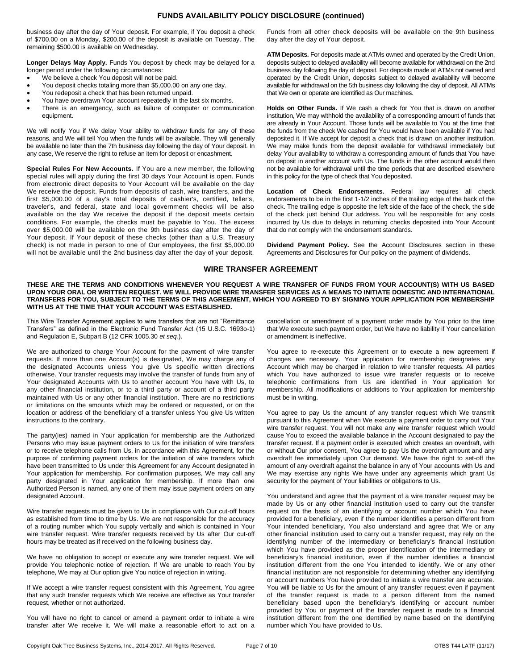# **FUNDS AVAILABILITY POLICY DISCLOSURE (continued)**

business day after the day of Your deposit. For example, if You deposit a check of \$700.00 on a Monday, \$200.00 of the deposit is available on Tuesday. The remaining \$500.00 is available on Wednesday.

**Longer Delays May Apply.** Funds You deposit by check may be delayed for a longer period under the following circumstances:

- We believe a check You deposit will not be paid.
- You deposit checks totaling more than \$5,000.00 on any one day.
- You redeposit a check that has been returned unpaid.
- You have overdrawn Your account repeatedly in the last six months.
- There is an emergency, such as failure of computer or communication equipment.

We will notify You if We delay Your ability to withdraw funds for any of these reasons, and We will tell You when the funds will be available. They will generally be available no later than the 7th business day following the day of Your deposit. In any case, We reserve the right to refuse an item for deposit or encashment.

**Special Rules For New Accounts.** If You are a new member, the following special rules will apply during the first 30 days Your Account is open. Funds from electronic direct deposits to Your Account will be available on the day We receive the deposit. Funds from deposits of cash, wire transfers, and the first \$5,000.00 of a day's total deposits of cashier's, certified, teller's, traveler's, and federal, state and local government checks will be also available on the day We receive the deposit if the deposit meets certain conditions. For example, the checks must be payable to You. The excess over \$5,000.00 will be available on the 9th business day after the day of Your deposit. If Your deposit of these checks (other than a U.S. Treasury check) is not made in person to one of Our employees, the first \$5,000.00 will not be available until the 2nd business day after the day of your deposit.

Funds from all other check deposits will be available on the 9th business day after the day of Your deposit.

**ATM Deposits.** For deposits made at ATMs owned and operated by the Credit Union, deposits subject to delayed availability will become available for withdrawal on the 2nd business day following the day of deposit. For deposits made at ATMs not owned and operated by the Credit Union, deposits subject to delayed availability will become available for withdrawal on the 5th business day following the day of deposit. All ATMs that We own or operate are identified as Our machines.

**Holds on Other Funds.** If We cash a check for You that is drawn on another institution, We may withhold the availability of a corresponding amount of funds that are already in Your Account. Those funds will be available to You at the time that the funds from the check We cashed for You would have been available if You had deposited it. If We accept for deposit a check that is drawn on another institution, We may make funds from the deposit available for withdrawal immediately but delay Your availability to withdraw a corresponding amount of funds that You have on deposit in another account with Us. The funds in the other account would then not be available for withdrawal until the time periods that are described elsewhere in this policy for the type of check that You deposited.

**Location of Check Endorsements.** Federal law requires all check endorsements to be in the first 1-1/2 inches of the trailing edge of the back of the check. The trailing edge is opposite the left side of the face of the check, the side of the check just behind Our address. You will be responsible for any costs incurred by Us due to delays in returning checks deposited into Your Account that do not comply with the endorsement standards.

**Dividend Payment Policy.** See the Account Disclosures section in these Agreements and Disclosures for Our policy on the payment of dividends.

## **WIRE TRANSFER AGREEMENT**

**THESE ARE THE TERMS AND CONDITIONS WHENEVER YOU REQUEST A WIRE TRANSFER OF FUNDS FROM YOUR ACCOUNT(S) WITH US BASED UPON YOUR ORAL OR WRITTEN REQUEST. WE WILL PROVIDE WIRE TRANSFER SERVICES AS A MEANS TO INITIATE DOMESTIC AND INTERNATIONAL TRANSFERS FOR YOU, SUBJECT TO THE TERMS OF THIS AGREEMENT, WHICH YOU AGREED TO BY SIGNING YOUR APPLICATION FOR MEMBERSHIP WITH US AT THE TIME THAT YOUR ACCOUNT WAS ESTABLISHED.**

This Wire Transfer Agreement applies to wire transfers that are not "Remittance Transfers" as defined in the Electronic Fund Transfer Act (15 U.S.C. 1693o-1) and Regulation E, Subpart B (12 CFR 1005.30 *et seq.*).

We are authorized to charge Your Account for the payment of wire transfer requests. If more than one Account(s) is designated, We may charge any of the designated Accounts unless You give Us specific written directions otherwise. Your transfer requests may involve the transfer of funds from any of Your designated Accounts with Us to another account You have with Us, to any other financial institution, or to a third party or account of a third party maintained with Us or any other financial institution. There are no restrictions or limitations on the amounts which may be ordered or requested, or on the location or address of the beneficiary of a transfer unless You give Us written instructions to the contrary.

The party(ies) named in Your application for membership are the Authorized Persons who may issue payment orders to Us for the initiation of wire transfers or to receive telephone calls from Us, in accordance with this Agreement, for the purpose of confirming payment orders for the initiation of wire transfers which have been transmitted to Us under this Agreement for any Account designated in Your application for membership. For confirmation purposes, We may call any party designated in Your application for membership. If more than one Authorized Person is named, any one of them may issue payment orders on any designated Account.

Wire transfer requests must be given to Us in compliance with Our cut-off hours as established from time to time by Us. We are not responsible for the accuracy of a routing number which You supply verbally and which is contained in Your wire transfer request. Wire transfer requests received by Us after Our cut-off hours may be treated as if received on the following business day.

We have no obligation to accept or execute any wire transfer request. We will provide You telephonic notice of rejection. If We are unable to reach You by telephone, We may at Our option give You notice of rejection in writing.

If We accept a wire transfer request consistent with this Agreement, You agree that any such transfer requests which We receive are effective as Your transfer request, whether or not authorized.

You will have no right to cancel or amend a payment order to initiate a wire transfer after We receive it. We will make a reasonable effort to act on a cancellation or amendment of a payment order made by You prior to the time that We execute such payment order, but We have no liability if Your cancellation or amendment is ineffective.

You agree to re-execute this Agreement or to execute a new agreement if changes are necessary. Your application for membership designates any Account which may be charged in relation to wire transfer requests. All parties which You have authorized to issue wire transfer requests or to receive telephonic confirmations from Us are identified in Your application for membership. All modifications or additions to Your application for membership must be in writing.

You agree to pay Us the amount of any transfer request which We transmit pursuant to this Agreement when We execute a payment order to carry out Your wire transfer request. You will not make any wire transfer request which would cause You to exceed the available balance in the Account designated to pay the transfer request. If a payment order is executed which creates an overdraft, with or without Our prior consent, You agree to pay Us the overdraft amount and any overdraft fee immediately upon Our demand. We have the right to set-off the amount of any overdraft against the balance in any of Your accounts with Us and We may exercise any rights We have under any agreements which grant Us security for the payment of Your liabilities or obligations to Us.

You understand and agree that the payment of a wire transfer request may be made by Us or any other financial institution used to carry out the transfer request on the basis of an identifying or account number which You have provided for a beneficiary, even if the number identifies a person different from Your intended beneficiary. You also understand and agree that We or any other financial institution used to carry out a transfer request, may rely on the identifying number of the intermediary or beneficiary's financial institution which You have provided as the proper identification of the intermediary or beneficiary's financial institution, even if the number identifies a financial institution different from the one You intended to identify. We or any other financial institution are not responsible for determining whether any identifying or account numbers You have provided to initiate a wire transfer are accurate. You will be liable to Us for the amount of any transfer request even if payment of the transfer request is made to a person different from the named beneficiary based upon the beneficiary's identifying or account number provided by You or payment of the transfer request is made to a financial institution different from the one identified by name based on the identifying number which You have provided to Us.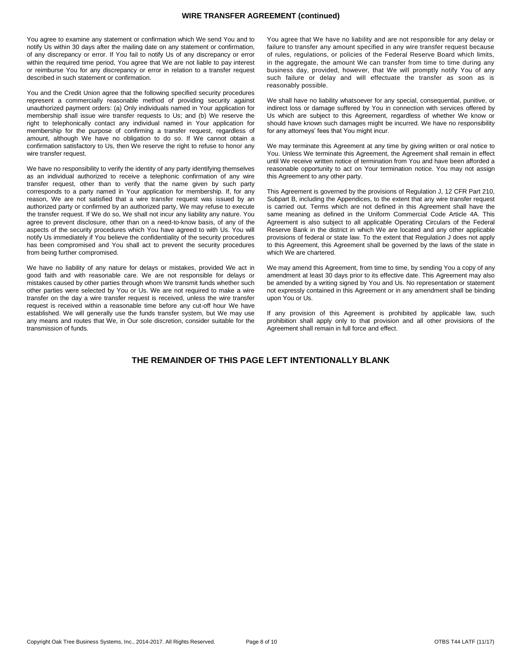You agree to examine any statement or confirmation which We send You and to notify Us within 30 days after the mailing date on any statement or confirmation, of any discrepancy or error. If You fail to notify Us of any discrepancy or error within the required time period, You agree that We are not liable to pay interest or reimburse You for any discrepancy or error in relation to a transfer request described in such statement or confirmation.

You and the Credit Union agree that the following specified security procedures represent a commercially reasonable method of providing security against unauthorized payment orders: (a) Only individuals named in Your application for membership shall issue wire transfer requests to Us; and (b) We reserve the right to telephonically contact any individual named in Your application for membership for the purpose of confirming a transfer request, regardless of amount, although We have no obligation to do so. If We cannot obtain a confirmation satisfactory to Us, then We reserve the right to refuse to honor any wire transfer request.

We have no responsibility to verify the identity of any party identifying themselves as an individual authorized to receive a telephonic confirmation of any wire transfer request, other than to verify that the name given by such party corresponds to a party named in Your application for membership. If, for any reason, We are not satisfied that a wire transfer request was issued by an authorized party or confirmed by an authorized party, We may refuse to execute the transfer request. If We do so, We shall not incur any liability any nature. You agree to prevent disclosure, other than on a need-to-know basis, of any of the aspects of the security procedures which You have agreed to with Us. You will notify Us immediately if You believe the confidentiality of the security procedures has been compromised and You shall act to prevent the security procedures from being further compromised.

We have no liability of any nature for delays or mistakes, provided We act in good faith and with reasonable care. We are not responsible for delays or mistakes caused by other parties through whom We transmit funds whether such other parties were selected by You or Us. We are not required to make a wire transfer on the day a wire transfer request is received, unless the wire transfer request is received within a reasonable time before any cut-off hour We have established. We will generally use the funds transfer system, but We may use any means and routes that We, in Our sole discretion, consider suitable for the transmission of funds.

You agree that We have no liability and are not responsible for any delay or failure to transfer any amount specified in any wire transfer request because of rules, regulations, or policies of the Federal Reserve Board which limits, in the aggregate, the amount We can transfer from time to time during any business day, provided, however, that We will promptly notify You of any such failure or delay and will effectuate the transfer as soon as is reasonably possible.

We shall have no liability whatsoever for any special, consequential, punitive, or indirect loss or damage suffered by You in connection with services offered by Us which are subject to this Agreement, regardless of whether We know or should have known such damages might be incurred. We have no responsibility for any attorneys' fees that You might incur.

We may terminate this Agreement at any time by giving written or oral notice to You. Unless We terminate this Agreement, the Agreement shall remain in effect until We receive written notice of termination from You and have been afforded a reasonable opportunity to act on Your termination notice. You may not assign this Agreement to any other party.

This Agreement is governed by the provisions of Regulation J, 12 CFR Part 210, Subpart B, including the Appendices, to the extent that any wire transfer request is carried out. Terms which are not defined in this Agreement shall have the same meaning as defined in the Uniform Commercial Code Article 4A. This Agreement is also subject to all applicable Operating Circulars of the Federal Reserve Bank in the district in which We are located and any other applicable provisions of federal or state law. To the extent that Regulation J does not apply to this Agreement, this Agreement shall be governed by the laws of the state in which We are chartered.

We may amend this Agreement, from time to time, by sending You a copy of any amendment at least 30 days prior to its effective date. This Agreement may also be amended by a writing signed by You and Us. No representation or statement not expressly contained in this Agreement or in any amendment shall be binding upon You or Us.

If any provision of this Agreement is prohibited by applicable law, such prohibition shall apply only to that provision and all other provisions of the Agreement shall remain in full force and effect.

# **THE REMAINDER OF THIS PAGE LEFT INTENTIONALLY BLANK**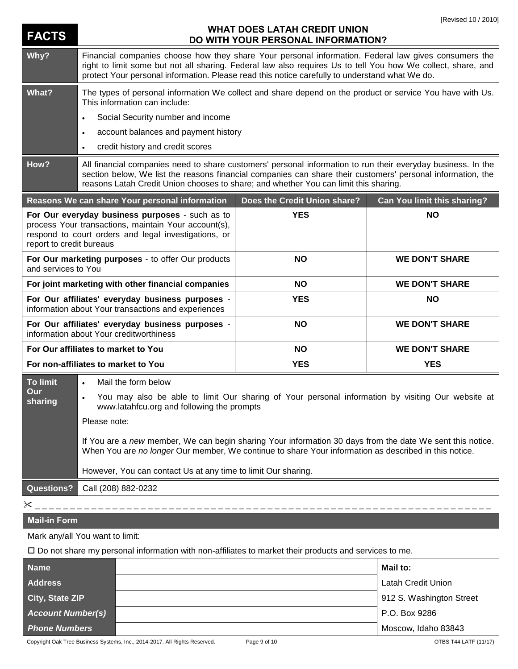| <b>FACTS</b>                                                                                                                                                                                | <b>WHAT DOES LATAH CREDIT UNION</b><br>DO WITH YOUR PERSONAL INFORMATION?                                                                                                                                                                                                                                              |                              |                             |  |
|---------------------------------------------------------------------------------------------------------------------------------------------------------------------------------------------|------------------------------------------------------------------------------------------------------------------------------------------------------------------------------------------------------------------------------------------------------------------------------------------------------------------------|------------------------------|-----------------------------|--|
| Why?                                                                                                                                                                                        | Financial companies choose how they share Your personal information. Federal law gives consumers the<br>right to limit some but not all sharing. Federal law also requires Us to tell You how We collect, share, and<br>protect Your personal information. Please read this notice carefully to understand what We do. |                              |                             |  |
| What?                                                                                                                                                                                       | The types of personal information We collect and share depend on the product or service You have with Us.<br>This information can include:                                                                                                                                                                             |                              |                             |  |
|                                                                                                                                                                                             | Social Security number and income<br>$\bullet$                                                                                                                                                                                                                                                                         |                              |                             |  |
|                                                                                                                                                                                             | account balances and payment history<br>$\bullet$                                                                                                                                                                                                                                                                      |                              |                             |  |
|                                                                                                                                                                                             | credit history and credit scores<br>$\bullet$                                                                                                                                                                                                                                                                          |                              |                             |  |
| How?                                                                                                                                                                                        | All financial companies need to share customers' personal information to run their everyday business. In the<br>section below, We list the reasons financial companies can share their customers' personal information, the<br>reasons Latah Credit Union chooses to share; and whether You can limit this sharing.    |                              |                             |  |
|                                                                                                                                                                                             | Reasons We can share Your personal information                                                                                                                                                                                                                                                                         | Does the Credit Union share? | Can You limit this sharing? |  |
| For Our everyday business purposes - such as to<br>process Your transactions, maintain Your account(s),<br>respond to court orders and legal investigations, or<br>report to credit bureaus |                                                                                                                                                                                                                                                                                                                        | <b>YES</b>                   | <b>NO</b>                   |  |
| For Our marketing purposes - to offer Our products<br>and services to You                                                                                                                   |                                                                                                                                                                                                                                                                                                                        | <b>NO</b>                    | <b>WE DON'T SHARE</b>       |  |
| For joint marketing with other financial companies                                                                                                                                          |                                                                                                                                                                                                                                                                                                                        | <b>NO</b>                    | <b>WE DON'T SHARE</b>       |  |
| For Our affiliates' everyday business purposes -<br>information about Your transactions and experiences                                                                                     |                                                                                                                                                                                                                                                                                                                        | <b>YES</b>                   | NΟ                          |  |
| For Our affiliates' everyday business purposes -<br>information about Your creditworthiness                                                                                                 |                                                                                                                                                                                                                                                                                                                        | <b>NO</b>                    | <b>WE DON'T SHARE</b>       |  |
| For Our affiliates to market to You                                                                                                                                                         |                                                                                                                                                                                                                                                                                                                        | <b>NO</b>                    | <b>WE DON'T SHARE</b>       |  |
| For non-affiliates to market to You                                                                                                                                                         |                                                                                                                                                                                                                                                                                                                        | <b>YES</b>                   | <b>YES</b>                  |  |
| <b>To limit</b>                                                                                                                                                                             | Mail the form below<br>$\bullet$                                                                                                                                                                                                                                                                                       |                              |                             |  |
| Our<br>sharing                                                                                                                                                                              | You may also be able to limit Our sharing of Your personal information by visiting Our website at<br>www.latahfcu.org and following the prompts                                                                                                                                                                        |                              |                             |  |
|                                                                                                                                                                                             | Please note:                                                                                                                                                                                                                                                                                                           |                              |                             |  |
|                                                                                                                                                                                             | If You are a new member, We can begin sharing Your information 30 days from the date We sent this notice.<br>When You are no longer Our member, We continue to share Your information as described in this notice.                                                                                                     |                              |                             |  |
|                                                                                                                                                                                             | However, You can contact Us at any time to limit Our sharing.                                                                                                                                                                                                                                                          |                              |                             |  |
| <b>Questions?</b>                                                                                                                                                                           | Call (208) 882-0232                                                                                                                                                                                                                                                                                                    |                              |                             |  |
| $\times$                                                                                                                                                                                    |                                                                                                                                                                                                                                                                                                                        |                              |                             |  |
| <b>Mail-in Form</b>                                                                                                                                                                         |                                                                                                                                                                                                                                                                                                                        |                              |                             |  |
| Mark any/all You want to limit:                                                                                                                                                             |                                                                                                                                                                                                                                                                                                                        |                              |                             |  |
| $\square$ Do not share my personal information with non-affiliates to market their products and services to me.                                                                             |                                                                                                                                                                                                                                                                                                                        |                              |                             |  |
| <b>Name</b>                                                                                                                                                                                 |                                                                                                                                                                                                                                                                                                                        |                              | <b>Mail to:</b>             |  |
| <b>Address</b>                                                                                                                                                                              |                                                                                                                                                                                                                                                                                                                        |                              | <b>Latah Credit Union</b>   |  |
| City, State ZIP                                                                                                                                                                             |                                                                                                                                                                                                                                                                                                                        |                              | 912 S. Washington Street    |  |
| <b>Account Number(s)</b>                                                                                                                                                                    |                                                                                                                                                                                                                                                                                                                        |                              | P.O. Box 9286               |  |
| <b>Phone Numbers</b>                                                                                                                                                                        |                                                                                                                                                                                                                                                                                                                        |                              | Moscow, Idaho 83843         |  |